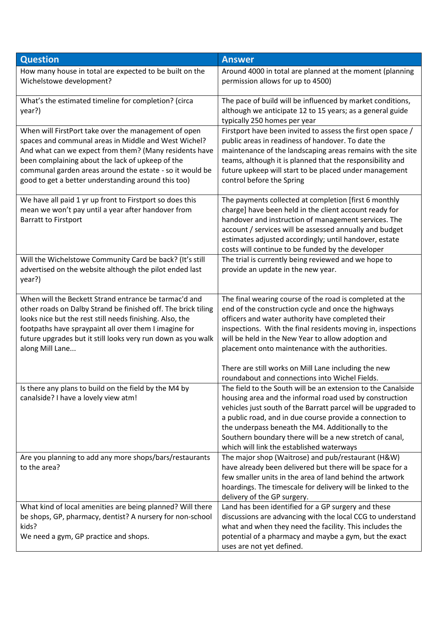| <b>Question</b>                                                                                                       | <b>Answer</b>                                                                                                         |
|-----------------------------------------------------------------------------------------------------------------------|-----------------------------------------------------------------------------------------------------------------------|
| How many house in total are expected to be built on the                                                               | Around 4000 in total are planned at the moment (planning                                                              |
| Wichelstowe development?                                                                                              | permission allows for up to 4500)                                                                                     |
| What's the estimated timeline for completion? (circa                                                                  | The pace of build will be influenced by market conditions,                                                            |
| year?)                                                                                                                | although we anticipate 12 to 15 years; as a general guide                                                             |
| When will FirstPort take over the management of open                                                                  | typically 250 homes per year<br>Firstport have been invited to assess the first open space /                          |
| spaces and communal areas in Middle and West Wichel?                                                                  | public areas in readiness of handover. To date the                                                                    |
| And what can we expect from them? (Many residents have                                                                | maintenance of the landscaping areas remains with the site                                                            |
| been complaining about the lack of upkeep of the                                                                      | teams, although it is planned that the responsibility and                                                             |
| communal garden areas around the estate - so it would be                                                              | future upkeep will start to be placed under management                                                                |
| good to get a better understanding around this too)                                                                   | control before the Spring                                                                                             |
| We have all paid 1 yr up front to Firstport so does this                                                              | The payments collected at completion [first 6 monthly                                                                 |
| mean we won't pay until a year after handover from                                                                    | charge] have been held in the client account ready for                                                                |
| <b>Barratt to Firstport</b>                                                                                           | handover and instruction of management services. The<br>account / services will be assessed annually and budget       |
|                                                                                                                       | estimates adjusted accordingly; until handover, estate                                                                |
|                                                                                                                       | costs will continue to be funded by the developer                                                                     |
| Will the Wichelstowe Community Card be back? (It's still                                                              | The trial is currently being reviewed and we hope to                                                                  |
| advertised on the website although the pilot ended last                                                               | provide an update in the new year.                                                                                    |
| year?)                                                                                                                |                                                                                                                       |
| When will the Beckett Strand entrance be tarmac'd and                                                                 | The final wearing course of the road is completed at the                                                              |
| other roads on Dalby Strand be finished off. The brick tiling                                                         | end of the construction cycle and once the highways                                                                   |
| looks nice but the rest still needs finishing. Also, the                                                              | officers and water authority have completed their                                                                     |
| footpaths have spraypaint all over them I imagine for<br>future upgrades but it still looks very run down as you walk | inspections. With the final residents moving in, inspections<br>will be held in the New Year to allow adoption and    |
| along Mill Lane                                                                                                       | placement onto maintenance with the authorities.                                                                      |
|                                                                                                                       |                                                                                                                       |
|                                                                                                                       | There are still works on Mill Lane including the new                                                                  |
|                                                                                                                       | roundabout and connections into Wichel Fields.<br>The field to the South will be an extension to the Canalside        |
| Is there any plans to build on the field by the M4 by<br>canalside? I have a lovely view atm!                         | housing area and the informal road used by construction                                                               |
|                                                                                                                       | vehicles just south of the Barratt parcel will be upgraded to                                                         |
|                                                                                                                       | a public road, and in due course provide a connection to                                                              |
|                                                                                                                       | the underpass beneath the M4. Additionally to the                                                                     |
|                                                                                                                       | Southern boundary there will be a new stretch of canal,                                                               |
|                                                                                                                       | which will link the established waterways                                                                             |
| Are you planning to add any more shops/bars/restaurants<br>to the area?                                               | The major shop (Waitrose) and pub/restaurant (H&W)<br>have already been delivered but there will be space for a       |
|                                                                                                                       | few smaller units in the area of land behind the artwork                                                              |
|                                                                                                                       | hoardings. The timescale for delivery will be linked to the                                                           |
|                                                                                                                       | delivery of the GP surgery.                                                                                           |
| What kind of local amenities are being planned? Will there                                                            | Land has been identified for a GP surgery and these                                                                   |
| be shops, GP, pharmacy, dentist? A nursery for non-school<br>kids?                                                    | discussions are advancing with the local CCG to understand<br>what and when they need the facility. This includes the |
| We need a gym, GP practice and shops.                                                                                 | potential of a pharmacy and maybe a gym, but the exact                                                                |
|                                                                                                                       | uses are not yet defined.                                                                                             |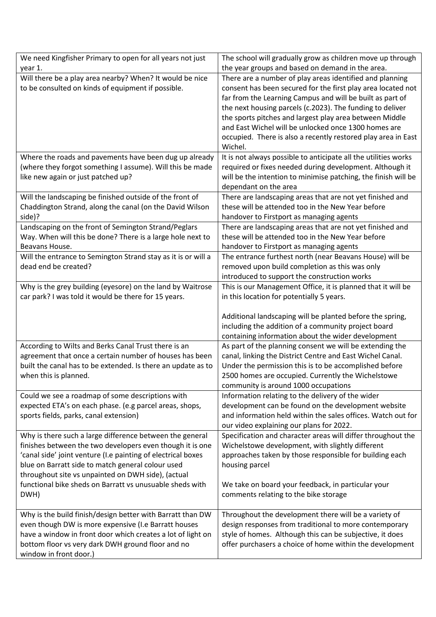| We need Kingfisher Primary to open for all years not just                   | The school will gradually grow as children move up through      |
|-----------------------------------------------------------------------------|-----------------------------------------------------------------|
| year 1.                                                                     | the year groups and based on demand in the area.                |
| Will there be a play area nearby? When? It would be nice                    | There are a number of play areas identified and planning        |
| to be consulted on kinds of equipment if possible.                          | consent has been secured for the first play area located not    |
|                                                                             | far from the Learning Campus and will be built as part of       |
|                                                                             | the next housing parcels (c.2023). The funding to deliver       |
|                                                                             | the sports pitches and largest play area between Middle         |
|                                                                             | and East Wichel will be unlocked once 1300 homes are            |
|                                                                             | occupied. There is also a recently restored play area in East   |
|                                                                             | Wichel.                                                         |
| Where the roads and pavements have been dug up already                      | It is not always possible to anticipate all the utilities works |
| (where they forgot something I assume). Will this be made                   | required or fixes needed during development. Although it        |
| like new again or just patched up?                                          | will be the intention to minimise patching, the finish will be  |
|                                                                             | dependant on the area                                           |
| Will the landscaping be finished outside of the front of                    | There are landscaping areas that are not yet finished and       |
| Chaddington Strand, along the canal (on the David Wilson                    | these will be attended too in the New Year before               |
| side)?                                                                      | handover to Firstport as managing agents                        |
| Landscaping on the front of Semington Strand/Peglars                        | There are landscaping areas that are not yet finished and       |
| Way. When will this be done? There is a large hole next to                  | these will be attended too in the New Year before               |
| Beavans House.                                                              | handover to Firstport as managing agents                        |
| Will the entrance to Semington Strand stay as it is or will a               | The entrance furthest north (near Beavans House) will be        |
| dead end be created?                                                        | removed upon build completion as this was only                  |
|                                                                             | introduced to support the construction works                    |
| Why is the grey building (eyesore) on the land by Waitrose                  | This is our Management Office, it is planned that it will be    |
| car park? I was told it would be there for 15 years.                        | in this location for potentially 5 years.                       |
|                                                                             |                                                                 |
|                                                                             |                                                                 |
|                                                                             | Additional landscaping will be planted before the spring,       |
|                                                                             | including the addition of a community project board             |
|                                                                             | containing information about the wider development              |
| According to Wilts and Berks Canal Trust there is an                        | As part of the planning consent we will be extending the        |
| agreement that once a certain number of houses has been                     | canal, linking the District Centre and East Wichel Canal.       |
| built the canal has to be extended. Is there an update as to                | Under the permission this is to be accomplished before          |
| when this is planned.                                                       | 2500 homes are occupied. Currently the Wichelstowe              |
|                                                                             | community is around 1000 occupations                            |
| Could we see a roadmap of some descriptions with                            | Information relating to the delivery of the wider               |
| expected ETA's on each phase. (e.g parcel areas, shops,                     | development can be found on the development website             |
| sports fields, parks, canal extension)                                      | and information held within the sales offices. Watch out for    |
|                                                                             | our video explaining our plans for 2022.                        |
| Why is there such a large difference between the general                    | Specification and character areas will differ throughout the    |
| finishes between the two developers even though it is one                   | Wichelstowe development, with slightly different                |
| 'canal side' joint venture (I.e painting of electrical boxes                | approaches taken by those responsible for building each         |
| blue on Barratt side to match general colour used                           | housing parcel                                                  |
| throughout site vs unpainted on DWH side), (actual                          |                                                                 |
| functional bike sheds on Barratt vs unusuable sheds with                    | We take on board your feedback, in particular your              |
| DWH)                                                                        | comments relating to the bike storage                           |
|                                                                             |                                                                 |
| Why is the build finish/design better with Barratt than DW                  | Throughout the development there will be a variety of           |
| even though DW is more expensive (I.e Barratt houses                        | design responses from traditional to more contemporary          |
| have a window in front door which creates a lot of light on                 | style of homes. Although this can be subjective, it does        |
| bottom floor vs very dark DWH ground floor and no<br>window in front door.) | offer purchasers a choice of home within the development        |